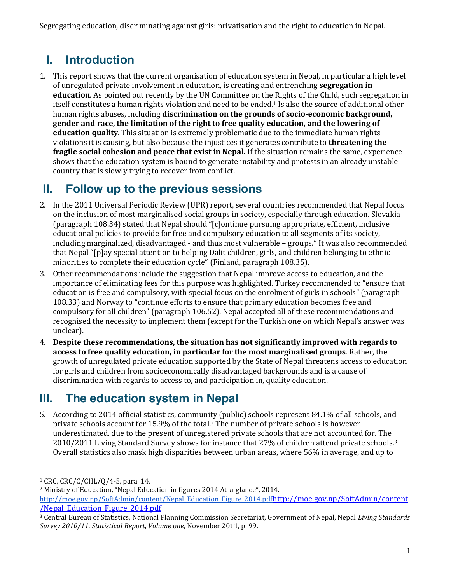Segregating education, discriminating against girls: privatisation and the right to education in Nepal.

# **I. Introduction**

1. This report shows that the current organisation of education system in Nepal, in particular a high level of unregulated private involvement in education, is creating and entrenching **segregation in education**. As pointed out recently by the UN Committee on the Rights of the Child, such segregation in itself constitutes a human rights violation and need to be ended. <sup>1</sup> Is also the source of additional other human rights abuses, including **discrimination on the grounds of socio-economic background, gender and race, the limitation of the right to free quality education, and the lowering of education quality**. This situation is extremely problematic due to the immediate human rights violations it is causing, but also because the injustices it generates contribute to **threatening the fragile social cohesion and peace that exist in Nepal.** If the situation remains the same, experience shows that the education system is bound to generate instability and protests in an already unstable country that is slowly trying to recover from conflict.

## **II. Follow up to the previous sessions**

- 2. In the 2011 Universal Periodic Review (UPR) report, several countries recommended that Nepal focus on the inclusion of most marginalised social groups in society, especially through education. Slovakia (paragraph 108.34) stated that Nepal should "[c]ontinue pursuing appropriate, efficient, inclusive educational policies to provide for free and compulsory education to all segments of its society, including marginalized, disadvantaged - and thus most vulnerable – groups." It was also recommended that Nepal "[p]ay special attention to helping Dalit children, girls, and children belonging to ethnic minorities to complete their education cycle" (Finland, paragraph 108.35).
- 3. Other recommendations include the suggestion that Nepal improve access to education, and the importance of eliminating fees for this purpose was highlighted. Turkey recommended to "ensure that education is free and compulsory, with special focus on the enrolment of girls in schools" (paragraph 108.33) and Norway to "continue efforts to ensure that primary education becomes free and compulsory for all children" (paragraph 106.52). Nepal accepted all of these recommendations and recognised the necessity to implement them (except for the Turkish one on which Nepal's answer was unclear).
- 4. **Despite these recommendations, the situation has not significantly improved with regards to access to free quality education, in particular for the most marginalised groups**. Rather, the growth of unregulated private education supported by the State of Nepal threatens access to education for girls and children from socioeconomically disadvantaged backgrounds and is a cause of discrimination with regards to access to, and participation in, quality education.

# **III. The education system in Nepal**

5. According to 2014 official statistics, community (public) schools represent 84.1% of all schools, and private schools account for 15.9% of the total.2 The number of private schools is however underestimated, due to the present of unregistered private schools that are not accounted for. The 2010/2011 Living Standard Survey shows for instance that 27% of children attend private schools.3 Overall statistics also mask high disparities between urban areas, where 56% in average, and up to

l

 $1$  CRC, CRC/C/CHL/Q/4-5, para. 14.

<sup>2</sup> Ministry of Education, "Nepal Education in figures 2014 At-a-glance", 2014.

http://moe.gov.np/SoftAdmin/content/Nepal\_Education\_Figure\_2014.pdfhttp://moe.gov.np/SoftAdmin/content /Nepal\_Education\_Figure\_2014.pdf

<sup>3</sup> Central Bureau of Statistics, National Planning Commission Secretariat, Government of Nepal, Nepal *Living Standards Survey 2010/11, Statistical Report, Volume one*, November 2011, p. 99.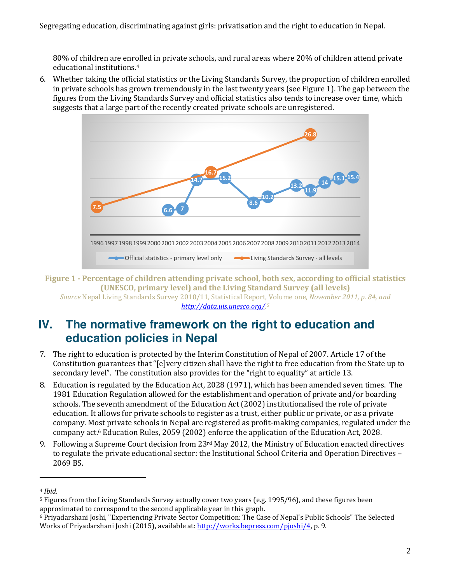80% of children are enrolled in private schools, and rural areas where 20% of children attend private educational institutions.4

6. Whether taking the official statistics or the Living Standards Survey, the proportion of children enrolled in private schools has grown tremendously in the last twenty years (see Figure 1). The gap between the figures from the Living Standards Survey and official statistics also tends to increase over time, which suggests that a large part of the recently created private schools are unregistered.



**Figure 1 - Percentage of children attending private school, both sex, according to official statistics (UNESCO, primary level) and the Living Standard Survey (all levels)** *Source* Nepal Living Standards Survey 2010/11, Statistical Report, Volume one*, November 2011, p. 84, and* 

#### *http://data.uis.unesco.org/. 5*

### **IV. The normative framework on the right to education and education policies in Nepal**

- 7. The right to education is protected by the Interim Constitution of Nepal of 2007. Article 17 of the Constitution guarantees that "[e]very citizen shall have the right to free education from the State up to secondary level". The constitution also provides for the "right to equality" at article 13.
- 8. Education is regulated by the Education Act, 2028 (1971), which has been amended seven times. The 1981 Education Regulation allowed for the establishment and operation of private and/or boarding schools. The seventh amendment of the Education Act (2002) institutionalised the role of private education. It allows for private schools to register as a trust, either public or private, or as a private company. Most private schools in Nepal are registered as profit-making companies, regulated under the company act.6 Education Rules, 2059 (2002) enforce the application of the Education Act, 2028.
- 9. Following a Supreme Court decision from 23rd May 2012, the Ministry of Education enacted directives to regulate the private educational sector: the Institutional School Criteria and Operation Directives – 2069 BS.

 $\overline{a}$ 

<sup>4</sup> *Ibid.*

<sup>5</sup> Figures from the Living Standards Survey actually cover two years (e.g. 1995/96), and these figures been approximated to correspond to the second applicable year in this graph.

<sup>6</sup> Priyadarshani Joshi, "Experiencing Private Sector Competition: The Case of Nepal's Public Schools" The Selected Works of Priyadarshani Joshi (2015), available at: http://works.bepress.com/pjoshi/4, p. 9.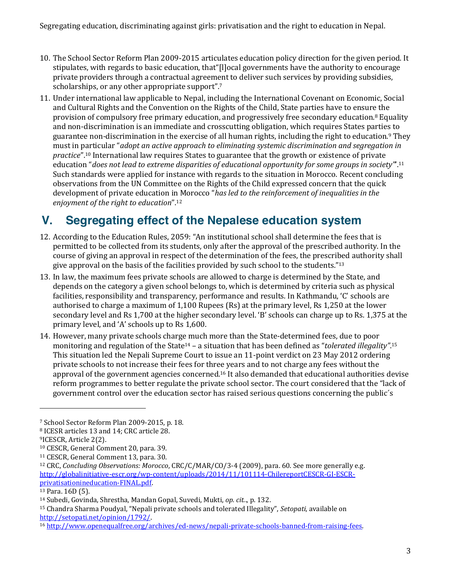- 10. The School Sector Reform Plan 2009-2015 articulates education policy direction for the given period. It stipulates, with regards to basic education, that"[l]ocal governments have the authority to encourage private providers through a contractual agreement to deliver such services by providing subsidies, scholarships, or any other appropriate support".<sup>7</sup>
- 11. Under international law applicable to Nepal, including the International Covenant on Economic, Social and Cultural Rights and the Convention on the Rights of the Child, State parties have to ensure the provision of compulsory free primary education, and progressively free secondary education.8 Equality and non-discrimination is an immediate and crosscutting obligation, which requires States parties to guarantee non-discrimination in the exercise of all human rights, including the right to education.9 They must in particular "*adopt an active approach to eliminating systemic discrimination and segregation in practice*".<sup>10</sup> International law requires States to guarantee that the growth or existence of private education "*does not lead to extreme disparities of educational opportunity for some groups in society"*'.<sup>11</sup> Such standards were applied for instance with regards to the situation in Morocco. Recent concluding observations from the UN Committee on the Rights of the Child expressed concern that the quick development of private education in Morocco "*has led to the reinforcement of inequalities in the enjoyment of the right to education*".<sup>12</sup>

# **V. Segregating effect of the Nepalese education system**

- 12. According to the Education Rules, 2059: "An institutional school shall determine the fees that is permitted to be collected from its students, only after the approval of the prescribed authority. In the course of giving an approval in respect of the determination of the fees, the prescribed authority shall give approval on the basis of the facilities provided by such school to the students."<sup>13</sup>
- 13. In law, the maximum fees private schools are allowed to charge is determined by the State, and depends on the category a given school belongs to, which is determined by criteria such as physical facilities, responsibility and transparency, performance and results. In Kathmandu, 'C' schools are authorised to charge a maximum of 1,100 Rupees (Rs) at the primary level, Rs 1,250 at the lower secondary level and Rs 1,700 at the higher secondary level. 'B' schools can charge up to Rs. 1,375 at the primary level, and 'A' schools up to Rs 1,600.
- 14. However, many private schools charge much more than the State-determined fees, due to poor monitoring and regulation of the State<sup>14</sup> - a situation that has been defined as "*tolerated illegality"*.<sup>15</sup> This situation led the Nepali Supreme Court to issue an 11-point verdict on 23 May 2012 ordering private schools to not increase their fees for three years and to not charge any fees without the approval of the government agencies concerned.16 It also demanded that educational authorities devise reform programmes to better regulate the private school sector. The court considered that the "lack of government control over the education sector has raised serious questions concerning the public´s

 $\overline{a}$ 

<sup>15</sup> Chandra Sharma Poudyal, "Nepali private schools and tolerated Illegality", *Setopati*, available on http://setopati.net/opinion/1792/.<br><sup>16</sup> http://www.openequalfree.org/archives/ed-news/nepali-private-schools-banned-from-raising-fees.

<sup>7</sup> School Sector Reform Plan 2009-2015, p. 18.

<sup>8</sup> ICESR articles 13 and 14; CRC article 28.

<sup>9</sup>ICESCR, Article 2(2).

<sup>10</sup> CESCR, General Comment 20, para. 39.

<sup>11</sup> CESCR, General Comment 13, para. 30.

<sup>12</sup> CRC, *Concluding Observations: Morocco*, CRC/C/MAR/CO/3-4 (2009), para. 60. See more generally e.g. http://globalinitiative-escr.org/wp-content/uploads/2014/11/101114-ChilereportCESCR-GI-ESCRprivatisationineducation-FINAL.pdf. 13 Para. 16D (5).

<sup>14</sup> Subedi, Govinda, Shrestha, Mandan Gopal, Suvedi, Mukti, *op. cit.*., p. 132.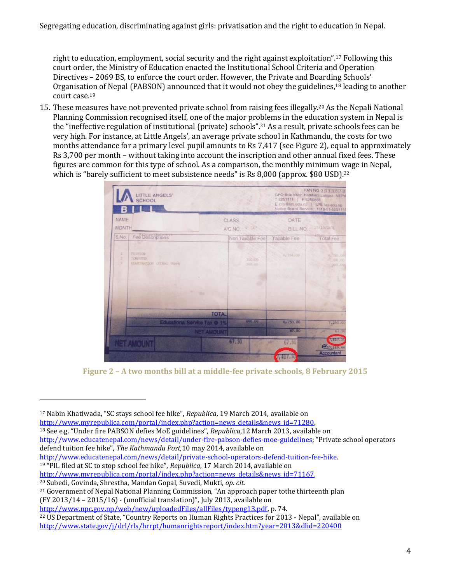right to education, employment, social security and the right against exploitation".<sup>17</sup> Following this court order, the Ministry of Education enacted the Institutional School Criteria and Operation Directives – 2069 BS, to enforce the court order. However, the Private and Boarding Schools' Organisation of Nepal (PABSON) announced that it would not obey the guidelines,18 leading to another court case.19

15. These measures have not prevented private school from raising fees illegally.20 As the Nepali National Planning Commission recognised itself, one of the major problems in the education system in Nepal is the "ineffective regulation of institutional (private) schools".<sup>21</sup> As a result, private schools fees can be very high. For instance, at Little Angels', an average private school in Kathmandu, the costs for two months attendance for a primary level pupil amounts to Rs 7,417 (see Figure 2), equal to approximately Rs 3,700 per month – without taking into account the inscription and other annual fixed fees. These figures are common for this type of school. As a comparison, the monthly minimum wage in Nepal, which is "barely sufficient to meet subsistence needs" is Rs 8,000 (approx. \$80 USD).<sup>22</sup>



**Figure 2 – A two months bill at a middle-fee private schools, 8 February 2015**

l

<sup>17</sup> Nabin Khatiwada, "SC stays school fee hike", *Republica*, 19 March 2014, available on

http://www.myrepublica.com/portal/index.php?action=news\_details&news\_id=71280.<br><sup>18</sup> See e.g. "Under fire PABSON defies MoE guidelines", *Republica*,12 March 2013, available on

http://www.educatenepal.com/news/detail/under-fire-pabson-defies-moe-guidelines; "Private school operators defend tuition fee hike", *The Kathmandu Post,*10 may 2014, available on

http://www.educatenepal.com/news/detail/private-school-operators-defend-tuition-fee-hike. 19 "PIL filed at SC to stop school fee hike", *Republica*, 17 March 2014, available on

http://www.myrepublica.com/portal/index.php?action=news\_details&news\_id=71167. 20 Subedi, Govinda, Shrestha, Mandan Gopal, Suvedi, Mukti, *op. cit.*

<sup>21</sup> Government of Nepal National Planning Commission, "An approach paper tothe thirteenth plan (FY 2013/14 – 2015/16) - (unofficial translation)", July 2013, available on

http://www.npc.gov.np/web/new/uploadedFiles/allFiles/typeng13.pdf, p. 74.

<sup>&</sup>lt;sup>22</sup> US Department of State, "Country Reports on Human Rights Practices for 2013 - Nepal", available on http://www.state.gov/j/drl/rls/hrrpt/humanrightsreport/index.htm?year=2013&dlid=220400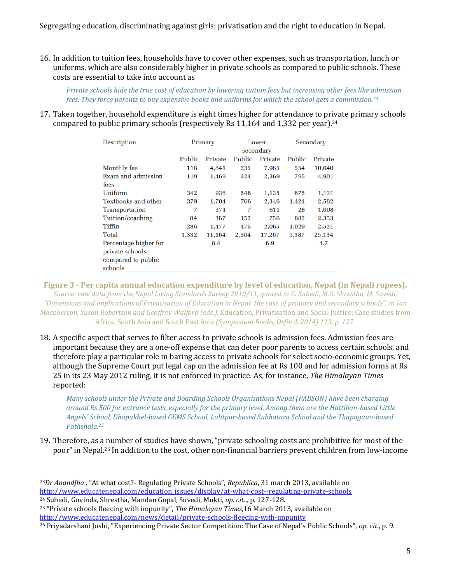16. In addition to tuition fees, households have to cover other expenses, such as transportation, lunch or uniforms, which are also considerably higher in private schools as compared to public schools. These costs are essential to take into account as

*Private schools hide the true cost of education by lowering tuition fees but increasing other fees like admission fees. They force parents to buy expensive books and uniforms for which the school gets a commission.23*

17. Taken together, household expenditure is eight times higher for attendance to private primary schools compared to public primary schools (respectively Rs  $11,164$  and  $1,332$  per year).<sup>24</sup>

| Description                |           | Primary |        | Lower   |        | Secondary |
|----------------------------|-----------|---------|--------|---------|--------|-----------|
|                            | secondary |         |        |         |        |           |
|                            | Public    | Private | Public | Private | Public | Private   |
| Monthly fee                | 116       | 4.841   | 235    | 7,985   | 554    | 10,640    |
| Exam and admission         | 119       | 1,469   | 324    | 2.369   | 795    | 4,901     |
| fees                       |           |         |        |         |        |           |
| Uniform                    | 342       | 936     | 546    | 1.135   | 675    | 1,131     |
| <b>Textbooks and other</b> | 379       | 1,704   | 766    | 2.346   | 1,424  | 2,582     |
| Transportation             | 7         | 371     | 7      | 611     | 28     | 1,008     |
| Tuition/coaching           | 84        | 367     | 152    | 756     | 882    | 2,353     |
| Tiffin                     | 286       | 1,477   | 475    | 2,065   | 1,029  | 2,521     |
| Total                      | 1,332     | 11,164  | 2,504  | 17,267  | 5,387  | 25,134    |
| Percentage higher for      |           | 8.4     |        | 6.9     |        | 4.7       |
| private schools            |           |         |        |         |        |           |
| compared to public         |           |         |        |         |        |           |
| schools                    |           |         |        |         |        |           |

**Figure 3 - Per capita annual education expenditure by level of education, Nepal (in Nepali rupees).** *Source: raw data from the Nepal Living Standards Survey 2010/11, quoted in G. Subedi, M.G. Shrestha, M. Suvedi, "Dimensions and implications of Privatisation of Education in Nepal: the case of primary and secondary schools",* in *Ian Macpherson, Susan Robertson and Geoffrey Walford (eds.),* Education, Privatisation and Social Justice: Case studies from Africa, South Asia and South East Asia *(Symposium Books, Oxford, 2014) 113, p. 127.*

18. A specific aspect that serves to filter access to private schools is admission fees. Admission fees are important because they are a one-off expense that can deter poor parents to access certain schools, and therefore play a particular role in baring access to private schools for select socio-economic groups. Yet, although the Supreme Court put legal cap on the admission fee at Rs 100 and for admission forms at Rs 25 in its 23 May 2012 ruling, it is not enforced in practice. As, for instance, *The Himalayan Times* reported:

*Many schools under the Private and Boarding Schools Organisations Nepal (PABSON) have been charging around Rs 500 for entrance tests, especially for the primary level. Among them are the Hattiban-based Little Angels' School, Dhapakhel-based GEMS School, Lalitpur-based Subhatara School and the Thapagaun-based Pathshala.25*

19. Therefore, as a number of studies have shown, "private schooling costs are prohibitive for most of the poor" in Nepal.<sup>26</sup> In addition to the cost, other non-financial barriers prevent children from low-income

 $\overline{a}$ 

<sup>25</sup> "Private schools fleecing with impunity", *The Himalayan Times*,16 March 2013, available on http://www.educatenepal.com/news/detail/private-schools-fleecing-with-impunity

<sup>23</sup>*Dr AnandJha* , "At what cost?- Regulating Private Schools", *Republica*, 31 march 2013, available on http://www.educatenepal.com/education\_issues/display/at-what-cost--regulating-private-schools

<sup>24</sup> Subedi, Govinda, Shrestha, Mandan Gopal, Suvedi, Mukti, *op. cit.*., p. 127-128.

<sup>26</sup> Priyadarshani Joshi, "Experiencing Private Sector Competition: The Case of Nepal's Public Schools", *op. cit*., p. 9.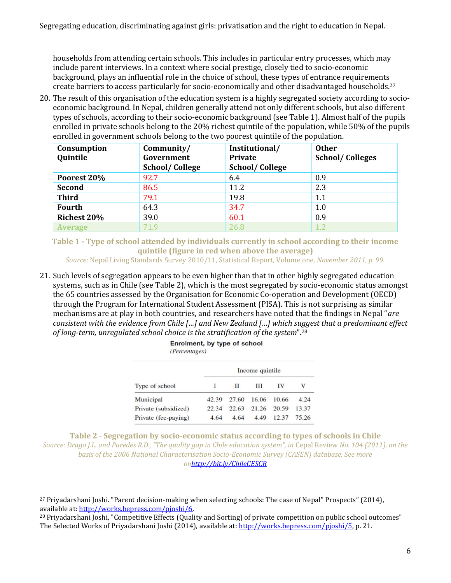households from attending certain schools. This includes in particular entry processes, which may include parent interviews. In a context where social prestige, closely tied to socio-economic background, plays an influential role in the choice of school, these types of entrance requirements create barriers to access particularly for socio-economically and other disadvantaged households. 27

20. The result of this organisation of the education system is a highly segregated society according to socioeconomic background. In Nepal, children generally attend not only different schools, but also different types of schools, according to their socio-economic background (see Table 1). Almost half of the pupils enrolled in private schools belong to the 20% richest quintile of the population, while 50% of the pupils enrolled in government schools belong to the two poorest quintile of the population.

| Consumption<br>Quintile | Community/<br>Government<br><b>School/College</b> | Institutional/<br><b>Private</b><br><b>School/College</b> | <b>Other</b><br><b>School/Colleges</b> |
|-------------------------|---------------------------------------------------|-----------------------------------------------------------|----------------------------------------|
| Poorest 20%             | 92.7                                              | 6.4                                                       | 0.9                                    |
| <b>Second</b>           | 86.5                                              | 11.2                                                      | 2.3                                    |
| <b>Third</b>            | 79.1                                              | 19.8                                                      | 1.1                                    |
| <b>Fourth</b>           | 64.3                                              | 34.7                                                      | 1.0                                    |
| <b>Richest 20%</b>      | 39.0                                              | 60.1                                                      | 0.9                                    |
| <b>Average</b>          | 71.9                                              | 26.8                                                      | 1.2                                    |

**Table 1 - Type of school attended by individuals currently in school according to their income quintile (figure in red when above the average)**

*Source:* Nepal Living Standards Survey 2010/11, Statistical Report, Volume one*, November 2011, p. 99.*

21. Such levels of segregation appears to be even higher than that in other highly segregated education systems, such as in Chile (see Table 2), which is the most segregated by socio-economic status amongst the 65 countries assessed by the Organisation for Economic Co-operation and Development (OECD) through the Program for International Student Assessment (PISA). This is not surprising as similar mechanisms are at play in both countries, and researchers have noted that the findings in Nepal "*are consistent with the evidence from Chile […] and New Zealand […] which suggest that a predominant effect of long-term, unregulated school choice is the stratification of the system*".<sup>28</sup>

|                      | Income quintile |       |       |       |       |  |
|----------------------|-----------------|-------|-------|-------|-------|--|
| Type of school       |                 | П     | Ш     | IV    | v     |  |
| Municipal            | 42.39           | 27.60 | 16.06 | 10.66 | 4.24  |  |
| Private (subsidized) | 22.34           | 22.63 | 21.26 | 20.59 | 13.37 |  |
| Private (fee-paying) | 4.64            | 4.64  | 4.49  | 12.37 | 75.26 |  |

| Enrolment, by type of school |  |
|------------------------------|--|
| <i>(Percentages)</i>         |  |

**Table 2 - Segregation by socio-economic status according to types of schools in Chile** *Source: Drago J.L. and Paredes R.D., "The quality gap in Chile education system", in* Cepal Review *No. 104 (2011), on the basis of the 2006 National Characterisation Socio-Economic Survey (CASEN) database. See more onhttp://bit.ly/ChileCESCR*

 $\overline{\phantom{0}}$ 

<sup>27</sup> Priyadarshani Joshi. "Parent decision-making when selecting schools: The case of Nepal" Prospects" (2014), available at: http://works.bepress.com/pjoshi/6.<br><sup>28</sup> Priyadarshani Joshi, "Competitive Effects (Quality and Sorting) of private competition on public school outcomes"

The Selected Works of Priyadarshani Joshi (2014), available at: http://works.bepress.com/pjoshi/5, p. 21.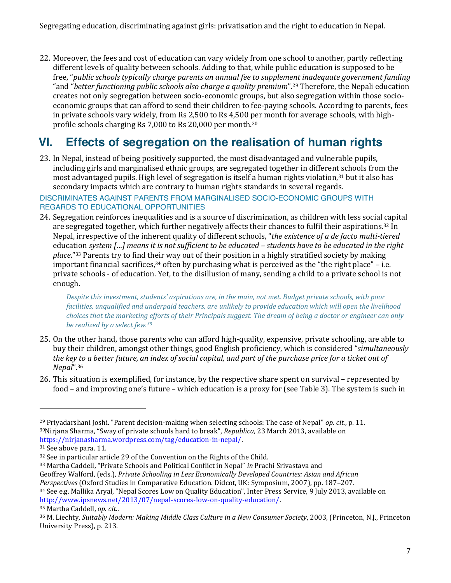22. Moreover, the fees and cost of education can vary widely from one school to another, partly reflecting different levels of quality between schools. Adding to that, while public education is supposed to be free, "*public schools typically charge parents an annual fee to supplement inadequate government funding* "and "*better functioning public schools also charge a quality premium*".<sup>29</sup> Therefore, the Nepali education creates not only segregation between socio-economic groups, but also segregation within those socioeconomic groups that can afford to send their children to fee-paying schools. According to parents, fees in private schools vary widely, from Rs 2,500 to Rs 4,500 per month for average schools, with highprofile schools charging Rs 7,000 to Rs 20,000 per month.30

### **VI. Effects of segregation on the realisation of human rights**

- 23. In Nepal, instead of being positively supported, the most disadvantaged and vulnerable pupils, including girls and marginalised ethnic groups, are segregated together in different schools from the most advantaged pupils. High level of segregation is itself a human rights violation,31 but it also has secondary impacts which are contrary to human rights standards in several regards. DISCRIMINATES AGAINST PARENTS FROM MARGINALISED SOCIO-ECONOMIC GROUPS WITH REGARDS TO EDUCATIONAL OPPORTUNITIES
- 24. Segregation reinforces inequalities and is a source of discrimination, as children with less social capital are segregated together, which further negatively affects their chances to fulfil their aspirations.32 In Nepal, irrespective of the inherent quality of different schools, "*the existence of a de facto multi-tiered*  education *system […] means it is not sufficient to be educated – students have to be educated in the right place*."<sup>33</sup> Parents try to find their way out of their position in a highly stratified society by making important financial sacrifices, $34$  often by purchasing what is perceived as the "the right place" – i.e. private schools - of education. Yet, to the disillusion of many, sending a child to a private school is not enough.

*Despite this investment, students' aspirations are, in the main, not met. Budget private schools, with poor facilities, unqualified and underpaid teachers, are unlikely to provide education which will open the livelihood choices that the marketing efforts of their Principals suggest. The dream of being a doctor or engineer can only be realized by a select few.35*

- 25. On the other hand, those parents who can afford high-quality, expensive, private schooling, are able to buy their children, amongst other things, good English proficiency, which is considered "*simultaneously the key to a better future, an index of social capital, and part of the purchase price for a ticket out of Nepal*".<sup>36</sup>
- 26. This situation is exemplified, for instance, by the respective share spent on survival represented by food – and improving one's future – which education is a proxy for (see Table 3). The system is such in

 $\overline{a}$ 

<sup>29</sup> Priyadarshani Joshi. "Parent decision-making when selecting schools: The case of Nepal" *op. cit.*, p. 11. <sup>30</sup>Nirjana Sharma, "Sway of private schools hard to break", *Republica*, 23 March 2013, available on https://nirjanasharma.wordpress.com/tag/education-in-nepal/. 31 See above para. 11.

<sup>32</sup> See in particular article 29 of the Convention on the Rights of the Child. 33 Martha Caddell, "Private Schools and Political Conflict in Nepal" *in* Prachi Srivastava and Geoffrey Walford, (eds.), *Private Schooling in Less Economically Developed Countries: Asian and African*

*Perspectives* (Oxford Studies in Comparative Education. Didcot, UK: Symposium, 2007), pp. 187–207.

<sup>34</sup> See e.g. Mallika Aryal, "Nepal Scores Low on Quality Education", Inter Press Service, 9 July 2013, available on http://www.ipsnews.net/2013/07/nepal-scores-low-on-quality-education/. 35 Martha Caddell, *op. cit*..

<sup>36</sup> M. Liechty, *Suitably Modern: Making Middle Class Culture in a New Consumer Society*, 2003, (Princeton, N.J., Princeton University Press), p. 213.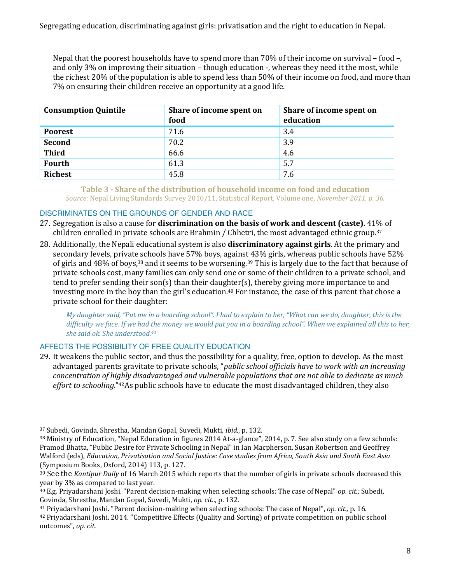Nepal that the poorest households have to spend more than 70% of their income on survival – food –, and only 3% on improving their situation – though education -, whereas they need it the most, while the richest 20% of the population is able to spend less than 50% of their income on food, and more than 7% on ensuring their children receive an opportunity at a good life.

| <b>Consumption Quintile</b> | Share of income spent on<br>food | Share of income spent on<br>education |
|-----------------------------|----------------------------------|---------------------------------------|
| <b>Poorest</b>              | 71.6                             | 3.4                                   |
| <b>Second</b>               | 70.2                             | 3.9                                   |
| <b>Third</b>                | 66.6                             | 4.6                                   |
| Fourth                      | 61.3                             | 5.7                                   |
| <b>Richest</b>              | 45.8                             | 7.6                                   |

#### **Table 3 - Share of the distribution of household income on food and education** *Source:* Nepal Living Standards Survey 2010/11, Statistical Report, Volume one*, November 2011, p. 36.*

#### DISCRIMINATES ON THE GROUNDS OF GENDER AND RACE

- 27. Segregation is also a cause for **discrimination on the basis of work and descent (caste)**. 41% of children enrolled in private schools are Brahmin / Chhetri, the most advantaged ethnic group.37
- 28. Additionally, the Nepali educational system is also **discriminatory against girls**. At the primary and secondary levels, private schools have 57% boys, against 43% girls, whereas public schools have 52% of girls and 48% of boys,38 and it seems to be worsening.39 This is largely due to the fact that because of private schools cost, many families can only send one or some of their children to a private school, and tend to prefer sending their son(s) than their daughter(s), thereby giving more importance to and investing more in the boy than the girl's education.<sup>40</sup> For instance, the case of this parent that chose a private school for their daughter:

*My daughter said, "Put me in a boarding school". I had to explain to her, "What can we do, daughter, this is the difficulty we face. If we had the money we would put you in a boarding school". When we explained all this to her, she said ok. She understood.41*

#### AFFECTS THE POSSIBILITY OF FREE QUALITY EDUCATION

29. It weakens the public sector, and thus the possibility for a quality, free, option to develop. As the most advantaged parents gravitate to private schools, "*public school officials have to work with an increasing concentration of highly disadvantaged and vulnerable populations that are not able to dedicate as much effort to schooling*."42As public schools have to educate the most disadvantaged children, they also

 $\overline{\phantom{0}}$ 

<sup>37</sup> Subedi, Govinda, Shrestha, Mandan Gopal, Suvedi, Mukti, *ibid*., p. 132.

<sup>38</sup> Ministry of Education, "Nepal Education in figures 2014 At-a-glance", 2014, p. 7. See also study on a few schools: Pramod Bhatta, "Public Desire for Private Schooling in Nepal" in Ian Macpherson, Susan Robertson and Geoffrey Walford (eds), *Education, Privatisation and Social Justice: Case studies from Africa, South Asia and South East Asia* (Symposium Books, Oxford, 2014) 113, p. 127.

<sup>39</sup> See the *Kantipur Daily* of 16 March 2015 which reports that the number of girls in private schools decreased this year by 3% as compared to last year.

<sup>40</sup> E.g. Priyadarshani Joshi. "Parent decision-making when selecting schools: The case of Nepal" *op. cit.;* Subedi, Govinda, Shrestha, Mandan Gopal, Suvedi, Mukti, *op. cit.*., p. 132.

<sup>41</sup> Priyadarshani Joshi. "Parent decision-making when selecting schools: The case of Nepal", *op. cit.,* p. 16.

<sup>42</sup> Priyadarshani Joshi. 2014. "Competitive Effects (Quality and Sorting) of private competition on public school outcomes", *op. cit.*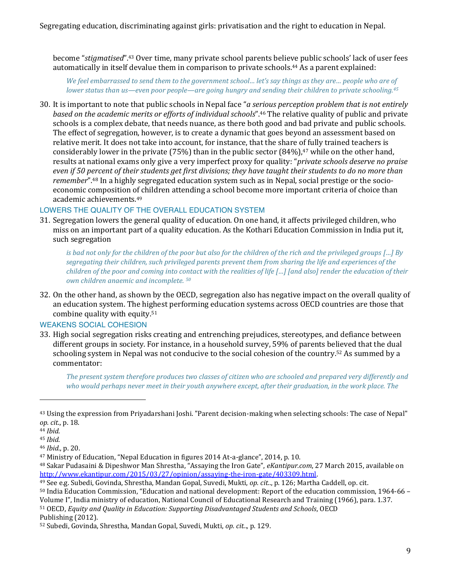become "*stigmatised*".<sup>43</sup> Over time, many private school parents believe public schools' lack of user fees automatically in itself devalue them in comparison to private schools. <sup>44</sup> As a parent explained:

*We feel embarrassed to send them to the government school… let's say things as they are… people who are of lower status than us—even poor people—are going hungry and sending their children to private schooling.45*

30. It is important to note that public schools in Nepal face "*a serious perception problem that is not entirely based on the academic merits or efforts of individual schools*".<sup>46</sup> The relative quality of public and private schools is a complex debate, that needs nuance, as there both good and bad private and public schools. The effect of segregation, however, is to create a dynamic that goes beyond an assessment based on relative merit. It does not take into account, for instance, that the share of fully trained teachers is considerably lower in the private (75%) than in the public sector  $(84\%)$ ,<sup>47</sup> while on the other hand, results at national exams only give a very imperfect proxy for quality: "*private schools deserve no praise even if 50 percent of their students get first divisions; they have taught their students to do no more than remember*". <sup>48</sup> In a highly segregated education system such as in Nepal, social prestige or the socioeconomic composition of children attending a school become more important criteria of choice than academic achievements.49

#### LOWERS THE QUALITY OF THE OVERALL EDUCATION SYSTEM

31. Segregation lowers the general quality of education. On one hand, it affects privileged children, who miss on an important part of a quality education. As the Kothari Education Commission in India put it, such segregation

*is bad not only for the children of the poor but also for the children of the rich and the privileged groups […] By segregating their children, such privileged parents prevent them from sharing the life and experiences of the children of the poor and coming into contact with the realities of life […] [and also] render the education of their own children anaemic and incomplete. 50*

32. On the other hand, as shown by the OECD, segregation also has negative impact on the overall quality of an education system. The highest performing education systems across OECD countries are those that combine quality with equity.51

#### WEAKENS SOCIAL COHESION

33. High social segregation risks creating and entrenching prejudices, stereotypes, and defiance between different groups in society. For instance, in a household survey, 59% of parents believed that the dual schooling system in Nepal was not conducive to the social cohesion of the country.<sup>52</sup> As summed by a commentator:

*The present system therefore produces two classes of citizen who are schooled and prepared very differently and who would perhaps never meet in their youth anywhere except, after their graduation, in the work place. The* 

l

<sup>51</sup> OECD, *Equity and Quality in Education: Supporting Disadvantaged Students and Schools*, OECD Publishing (2012).

<sup>43</sup> Using the expression from Priyadarshani Joshi. "Parent decision-making when selecting schools: The case of Nepal" *op. cit*., p. 18.

<sup>44</sup> *Ibid*.

<sup>45</sup> *Ibid*.

<sup>46</sup> *Ibid*., p. 20.

<sup>47</sup> Ministry of Education, "Nepal Education in figures 2014 At-a-glance", 2014, p. 10.

<sup>48</sup> Sakar Pudasaini & Dipeshwor Man Shrestha, "Assaying the Iron Gate", *eKantipur.com*, 27 March 2015, available on

<sup>&</sup>lt;sup>49</sup> See e.g. Subedi, Govinda, Shrestha, Mandan Gopal, Suvedi, Mukti, *op. cit.*., p. 126; Martha Caddell, op. cit.

<sup>50</sup> India Education Commission, "Education and national development: Report of the education commission, 1964-66 – Volume I", India ministry of education, National Council of Educational Research and Training (1966), para. 1.37.

<sup>52</sup> Subedi, Govinda, Shrestha, Mandan Gopal, Suvedi, Mukti, *op. cit.*., p. 129.